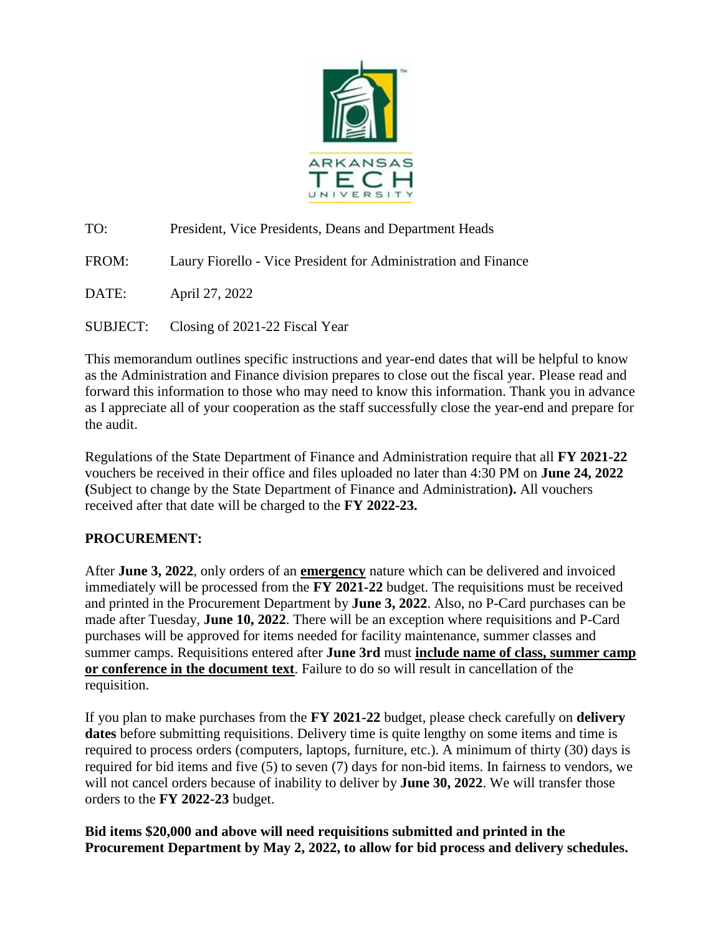

TO: President, Vice Presidents, Deans and Department Heads FROM: Laury Fiorello - Vice President for Administration and Finance DATE: April 27, 2022 SUBJECT: Closing of 2021-22 Fiscal Year

This memorandum outlines specific instructions and year-end dates that will be helpful to know as the Administration and Finance division prepares to close out the fiscal year. Please read and forward this information to those who may need to know this information. Thank you in advance as I appreciate all of your cooperation as the staff successfully close the year-end and prepare for the audit.

Regulations of the State Department of Finance and Administration require that all **FY 2021-22** vouchers be received in their office and files uploaded no later than 4:30 PM on **June 24, 2022 (**Subject to change by the State Department of Finance and Administration**).** All vouchers received after that date will be charged to the **FY 2022-23.**

## **PROCUREMENT:**

After **June 3, 2022**, only orders of an **emergency** nature which can be delivered and invoiced immediately will be processed from the **FY 2021-22** budget. The requisitions must be received and printed in the Procurement Department by **June 3, 2022**. Also, no P-Card purchases can be made after Tuesday, **June 10, 2022**. There will be an exception where requisitions and P-Card purchases will be approved for items needed for facility maintenance, summer classes and summer camps. Requisitions entered after **June 3rd** must **include name of class, summer camp or conference in the document text**. Failure to do so will result in cancellation of the requisition.

If you plan to make purchases from the **FY 2021-22** budget, please check carefully on **delivery dates** before submitting requisitions. Delivery time is quite lengthy on some items and time is required to process orders (computers, laptops, furniture, etc.). A minimum of thirty (30) days is required for bid items and five (5) to seven (7) days for non-bid items. In fairness to vendors, we will not cancel orders because of inability to deliver by **June 30, 2022**. We will transfer those orders to the **FY 2022-23** budget.

**Bid items \$20,000 and above will need requisitions submitted and printed in the Procurement Department by May 2, 2022, to allow for bid process and delivery schedules.**